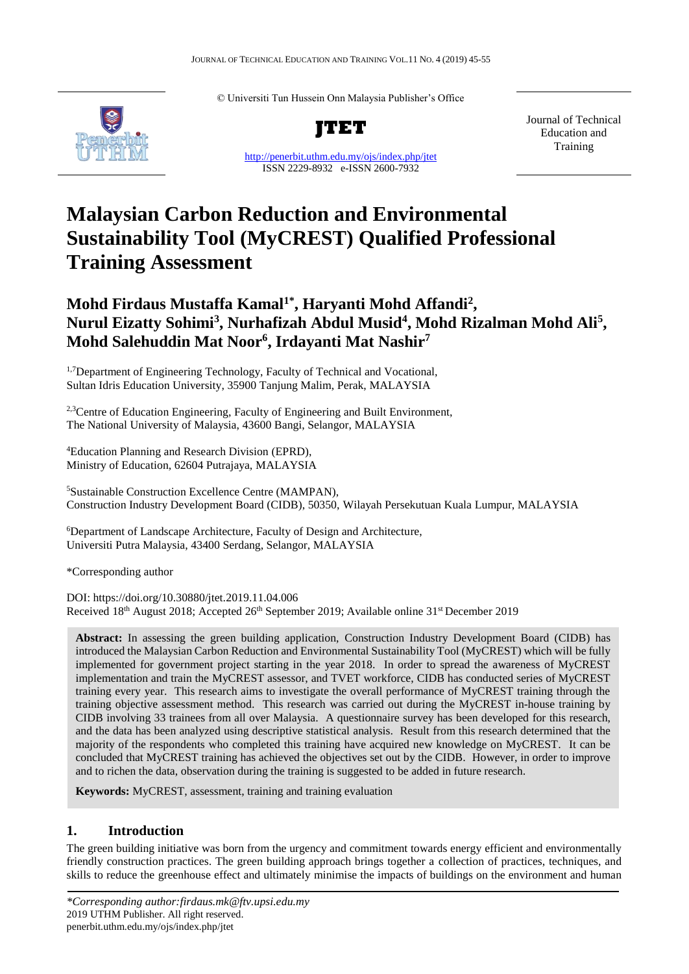© Universiti Tun Hussein Onn Malaysia Publisher's Office



**JTET**

<http://penerbit.uthm.edu.my/ojs/index.php/jtet> ISSN 2229-8932 e-ISSN 2600-7932

Journal of Technical Education and Training

# **Malaysian Carbon Reduction and Environmental Sustainability Tool (MyCREST) Qualified Professional Training Assessment**

# **Mohd Firdaus Mustaffa Kamal1\* , Haryanti Mohd Affandi<sup>2</sup> , Nurul Eizatty Sohimi<sup>3</sup> , Nurhafizah Abdul Musid<sup>4</sup> , Mohd Rizalman Mohd Ali<sup>5</sup> , Mohd Salehuddin Mat Noor<sup>6</sup> , Irdayanti Mat Nashir<sup>7</sup>**

<sup>1,7</sup>Department of Engineering Technology, Faculty of Technical and Vocational, Sultan Idris Education University, 35900 Tanjung Malim, Perak, MALAYSIA

<sup>2,3</sup>Centre of Education Engineering, Faculty of Engineering and Built Environment, The National University of Malaysia, 43600 Bangi, Selangor, MALAYSIA

<sup>4</sup>Education Planning and Research Division (EPRD), Ministry of Education, 62604 Putrajaya, MALAYSIA

<sup>5</sup>Sustainable Construction Excellence Centre (MAMPAN), Construction Industry Development Board (CIDB), 50350, Wilayah Persekutuan Kuala Lumpur, MALAYSIA

<sup>6</sup>Department of Landscape Architecture, Faculty of Design and Architecture, Universiti Putra Malaysia, 43400 Serdang, Selangor, MALAYSIA

\*Corresponding author

DOI: https://doi.org/10.30880/jtet.2019.11.04.006 Received 18<sup>th</sup> August 2018; Accepted 26<sup>th</sup> September 2019; Available online 31<sup>st</sup> December 2019

**Abstract:** In assessing the green building application, Construction Industry Development Board (CIDB) has introduced the Malaysian Carbon Reduction and Environmental Sustainability Tool (MyCREST) which will be fully implemented for government project starting in the year 2018. In order to spread the awareness of MyCREST implementation and train the MyCREST assessor, and TVET workforce, CIDB has conducted series of MyCREST training every year. This research aims to investigate the overall performance of MyCREST training through the training objective assessment method. This research was carried out during the MyCREST in-house training by CIDB involving 33 trainees from all over Malaysia. A questionnaire survey has been developed for this research, and the data has been analyzed using descriptive statistical analysis. Result from this research determined that the majority of the respondents who completed this training have acquired new knowledge on MyCREST. It can be concluded that MyCREST training has achieved the objectives set out by the CIDB. However, in order to improve and to richen the data, observation during the training is suggested to be added in future research.

**Keywords:** MyCREST, assessment, training and training evaluation

# **1. Introduction**

The green building initiative was born from the urgency and commitment towards energy efficient and environmentally friendly construction practices. The green building approach brings together a collection of practices, techniques, and skills to reduce the greenhouse effect and ultimately minimise the impacts of buildings on the environment and human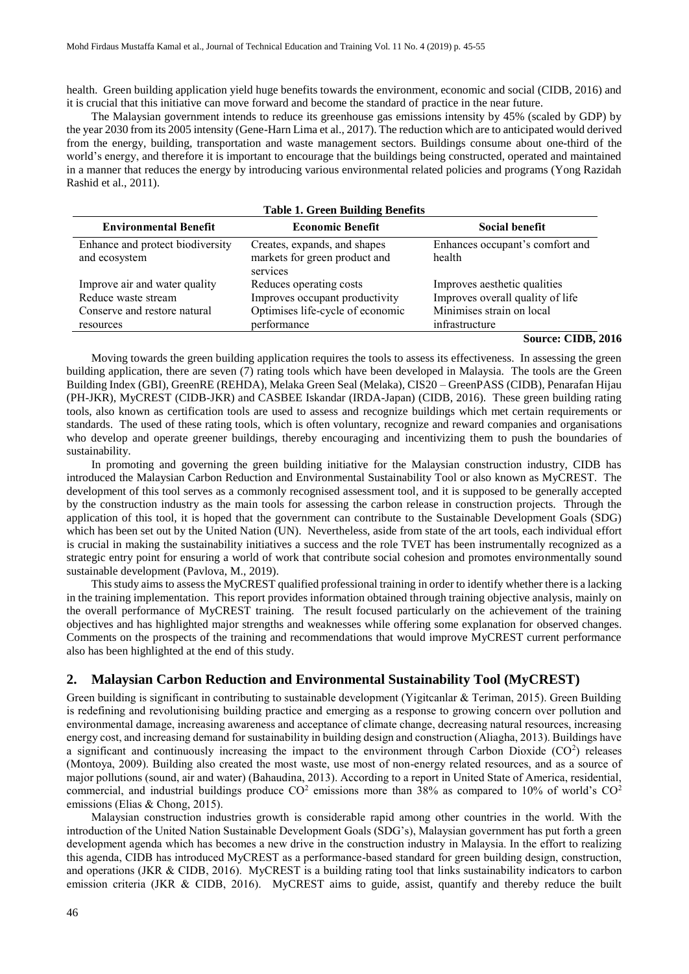health. Green building application yield huge benefits towards the environment, economic and social (CIDB, 2016) and it is crucial that this initiative can move forward and become the standard of practice in the near future.

The Malaysian government intends to reduce its greenhouse gas emissions intensity by 45% (scaled by GDP) by the year 2030 from its 2005 intensity (Gene-Harn Lima et al., 2017). The reduction which are to anticipated would derived from the energy, building, transportation and waste management sectors. Buildings consume about one-third of the world's energy, and therefore it is important to encourage that the buildings being constructed, operated and maintained in a manner that reduces the energy by introducing various environmental related policies and programs (Yong Razidah Rashid et al., 2011).

| <b>Table 1. Green Building Benefits</b>                                                           |                                                                                                              |                                                                                                                 |  |  |  |  |  |
|---------------------------------------------------------------------------------------------------|--------------------------------------------------------------------------------------------------------------|-----------------------------------------------------------------------------------------------------------------|--|--|--|--|--|
| <b>Environmental Benefit</b>                                                                      | <b>Economic Benefit</b>                                                                                      | Social benefit                                                                                                  |  |  |  |  |  |
| Enhance and protect biodiversity<br>and ecosystem                                                 | Creates, expands, and shapes<br>markets for green product and<br>services                                    | Enhances occupant's comfort and<br>health                                                                       |  |  |  |  |  |
| Improve air and water quality<br>Reduce waste stream<br>Conserve and restore natural<br>resources | Reduces operating costs<br>Improves occupant productivity<br>Optimises life-cycle of economic<br>performance | Improves aesthetic qualities<br>Improves overall quality of life<br>Minimises strain on local<br>infrastructure |  |  |  |  |  |

#### **Source: CIDB, 2016**

Moving towards the green building application requires the tools to assess its effectiveness. In assessing the green building application, there are seven (7) rating tools which have been developed in Malaysia. The tools are the Green Building Index (GBI), GreenRE (REHDA), Melaka Green Seal (Melaka), CIS20 – GreenPASS (CIDB), Penarafan Hijau (PH-JKR), MyCREST (CIDB-JKR) and CASBEE Iskandar (IRDA-Japan) (CIDB, 2016). These green building rating tools, also known as certification tools are used to assess and recognize buildings which met certain requirements or standards. The used of these rating tools, which is often voluntary, recognize and reward companies and organisations who develop and operate greener buildings, thereby encouraging and incentivizing them to push the boundaries of sustainability.

In promoting and governing the green building initiative for the Malaysian construction industry, CIDB has introduced the Malaysian Carbon Reduction and Environmental Sustainability Tool or also known as MyCREST. The development of this tool serves as a commonly recognised assessment tool, and it is supposed to be generally accepted by the construction industry as the main tools for assessing the carbon release in construction projects. Through the application of this tool, it is hoped that the government can contribute to the Sustainable Development Goals (SDG) which has been set out by the United Nation (UN). Nevertheless, aside from state of the art tools, each individual effort is crucial in making the sustainability initiatives a success and the role TVET has been instrumentally recognized as a strategic entry point for ensuring a world of work that contribute social cohesion and promotes environmentally sound sustainable development (Pavlova, M., 2019).

This study aims to assess the MyCREST qualified professional training in order to identify whether there is a lacking in the training implementation. This report provides information obtained through training objective analysis, mainly on the overall performance of MyCREST training. The result focused particularly on the achievement of the training objectives and has highlighted major strengths and weaknesses while offering some explanation for observed changes. Comments on the prospects of the training and recommendations that would improve MyCREST current performance also has been highlighted at the end of this study.

# **2. Malaysian Carbon Reduction and Environmental Sustainability Tool (MyCREST)**

Green building is significant in contributing to sustainable development (Yigitcanlar & Teriman, 2015). Green Building is redefining and revolutionising building practice and emerging as a response to growing concern over pollution and environmental damage, increasing awareness and acceptance of climate change, decreasing natural resources, increasing energy cost, and increasing demand for sustainability in building design and construction (Aliagha, 2013). Buildings have a significant and continuously increasing the impact to the environment through Carbon Dioxide  $(CO<sup>2</sup>)$  releases (Montoya, 2009). Building also created the most waste, use most of non-energy related resources, and as a source of major pollutions (sound, air and water) (Bahaudina, 2013). According to a report in United State of America, residential, commercial, and industrial buildings produce  $CO<sup>2</sup>$  emissions more than 38% as compared to 10% of world's  $CO<sup>2</sup>$ emissions (Elias & Chong, 2015).

Malaysian construction industries growth is considerable rapid among other countries in the world. With the introduction of the United Nation Sustainable Development Goals (SDG's), Malaysian government has put forth a green development agenda which has becomes a new drive in the construction industry in Malaysia. In the effort to realizing this agenda, CIDB has introduced MyCREST as a performance-based standard for green building design, construction, and operations (JKR  $&$  CIDB, 2016). MyCREST is a building rating tool that links sustainability indicators to carbon emission criteria (JKR & CIDB, 2016). MyCREST aims to guide, assist, quantify and thereby reduce the built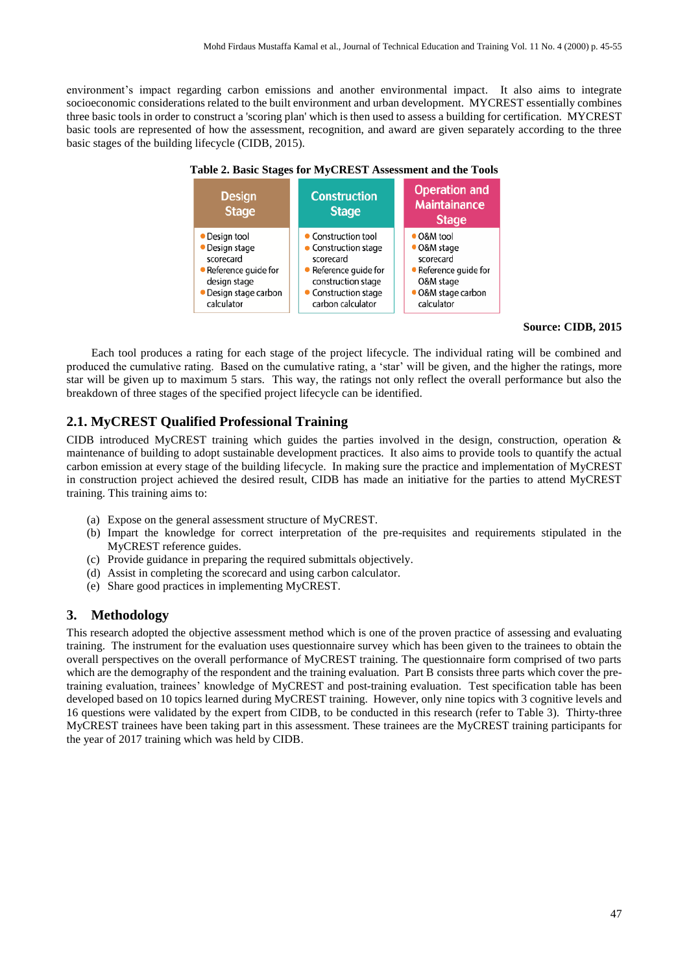environment's impact regarding carbon emissions and another environmental impact. It also aims to integrate socioeconomic considerations related to the built environment and urban development. MYCREST essentially combines three basic tools in order to construct a 'scoring plan' which is then used to assess a building for certification. MYCREST basic tools are represented of how the assessment, recognition, and award are given separately according to the three basic stages of the building lifecycle (CIDB, 2015).





#### **Source: CIDB, 2015**

Each tool produces a rating for each stage of the project lifecycle. The individual rating will be combined and produced the cumulative rating. Based on the cumulative rating, a 'star' will be given, and the higher the ratings, more star will be given up to maximum 5 stars. This way, the ratings not only reflect the overall performance but also the breakdown of three stages of the specified project lifecycle can be identified.

# **2.1. MyCREST Qualified Professional Training**

CIDB introduced MyCREST training which guides the parties involved in the design, construction, operation  $\&$ maintenance of building to adopt sustainable development practices. It also aims to provide tools to quantify the actual carbon emission at every stage of the building lifecycle. In making sure the practice and implementation of MyCREST in construction project achieved the desired result, CIDB has made an initiative for the parties to attend MyCREST training. This training aims to:

- (a) Expose on the general assessment structure of MyCREST.
- (b) Impart the knowledge for correct interpretation of the pre-requisites and requirements stipulated in the MyCREST reference guides.
- (c) Provide guidance in preparing the required submittals objectively.
- (d) Assist in completing the scorecard and using carbon calculator.
- (e) Share good practices in implementing MyCREST.

#### **3. Methodology**

This research adopted the objective assessment method which is one of the proven practice of assessing and evaluating training. The instrument for the evaluation uses questionnaire survey which has been given to the trainees to obtain the overall perspectives on the overall performance of MyCREST training. The questionnaire form comprised of two parts which are the demography of the respondent and the training evaluation. Part B consists three parts which cover the pretraining evaluation, trainees' knowledge of MyCREST and post-training evaluation. Test specification table has been developed based on 10 topics learned during MyCREST training. However, only nine topics with 3 cognitive levels and 16 questions were validated by the expert from CIDB, to be conducted in this research (refer to Table 3). Thirty-three MyCREST trainees have been taking part in this assessment. These trainees are the MyCREST training participants for the year of 2017 training which was held by CIDB.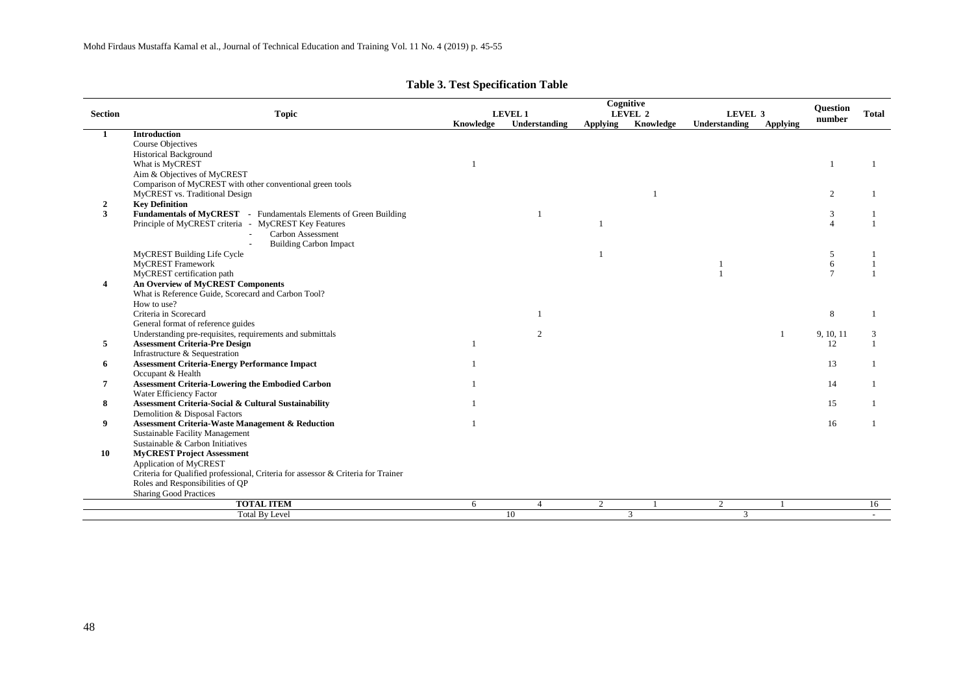|                |                                                                                   |           | Cognitive<br><b>LEVEL 1</b><br>LEVEL 2<br>LEVEL 3 |          |           |               |                 |           | Total |
|----------------|-----------------------------------------------------------------------------------|-----------|---------------------------------------------------|----------|-----------|---------------|-----------------|-----------|-------|
| <b>Section</b> | <b>Topic</b>                                                                      | Knowledge | Understanding                                     | Applying | Knowledge | Understanding | <b>Applying</b> | number    |       |
|                | <b>Introduction</b>                                                               |           |                                                   |          |           |               |                 |           |       |
|                | <b>Course Objectives</b>                                                          |           |                                                   |          |           |               |                 |           |       |
|                | <b>Historical Background</b>                                                      |           |                                                   |          |           |               |                 |           |       |
|                | What is MyCREST                                                                   |           |                                                   |          |           |               |                 |           |       |
|                | Aim & Objectives of MyCREST                                                       |           |                                                   |          |           |               |                 |           |       |
|                | Comparison of MyCREST with other conventional green tools                         |           |                                                   |          |           |               |                 |           |       |
|                | MyCREST vs. Traditional Design                                                    |           |                                                   |          |           |               |                 | 2         |       |
| $\overline{2}$ | <b>Key Definition</b>                                                             |           |                                                   |          |           |               |                 |           |       |
| 3              | Fundamentals of MyCREST - Fundamentals Elements of Green Building                 |           |                                                   |          |           |               |                 | 3         |       |
|                | Principle of MyCREST criteria - MyCREST Key Features                              |           |                                                   |          |           |               |                 |           |       |
|                | Carbon Assessment                                                                 |           |                                                   |          |           |               |                 |           |       |
|                | <b>Building Carbon Impact</b>                                                     |           |                                                   |          |           |               |                 |           |       |
|                | MyCREST Building Life Cycle                                                       |           |                                                   |          |           |               |                 | 5         |       |
|                | <b>MyCREST</b> Framework                                                          |           |                                                   |          |           |               |                 | 6         |       |
|                | MyCREST certification path                                                        |           |                                                   |          |           |               |                 |           |       |
| 4              | <b>An Overview of MyCREST Components</b>                                          |           |                                                   |          |           |               |                 |           |       |
|                | What is Reference Guide, Scorecard and Carbon Tool?                               |           |                                                   |          |           |               |                 |           |       |
|                | How to use?                                                                       |           |                                                   |          |           |               |                 |           |       |
|                | Criteria in Scorecard                                                             |           | $\mathbf{1}$                                      |          |           |               |                 | 8         |       |
|                | General format of reference guides                                                |           |                                                   |          |           |               |                 |           |       |
|                | Understanding pre-requisites, requirements and submittals                         |           | 2                                                 |          |           |               |                 | 9, 10, 11 | 3     |
| 5              | <b>Assessment Criteria-Pre Design</b>                                             |           |                                                   |          |           |               |                 | 12        |       |
|                | Infrastructure & Sequestration                                                    |           |                                                   |          |           |               |                 |           |       |
| 6              | <b>Assessment Criteria-Energy Performance Impact</b>                              |           |                                                   |          |           |               |                 | 13        |       |
|                | Occupant & Health                                                                 |           |                                                   |          |           |               |                 |           |       |
|                | Assessment Criteria-Lowering the Embodied Carbon                                  |           |                                                   |          |           |               |                 | 14        |       |
|                | Water Efficiency Factor                                                           |           |                                                   |          |           |               |                 |           |       |
| 8              | Assessment Criteria-Social & Cultural Sustainability                              |           |                                                   |          |           |               |                 | 15        |       |
|                | Demolition & Disposal Factors                                                     |           |                                                   |          |           |               |                 |           |       |
| 9              | <b>Assessment Criteria-Waste Management &amp; Reduction</b>                       |           |                                                   |          |           |               |                 | 16        |       |
|                | Sustainable Facility Management                                                   |           |                                                   |          |           |               |                 |           |       |
|                | Sustainable & Carbon Initiatives                                                  |           |                                                   |          |           |               |                 |           |       |
| 10             | <b>MyCREST Project Assessment</b>                                                 |           |                                                   |          |           |               |                 |           |       |
|                | Application of MyCREST                                                            |           |                                                   |          |           |               |                 |           |       |
|                | Criteria for Qualified professional, Criteria for assessor & Criteria for Trainer |           |                                                   |          |           |               |                 |           |       |
|                | Roles and Responsibilities of QP                                                  |           |                                                   |          |           |               |                 |           |       |
|                | <b>Sharing Good Practices</b>                                                     |           |                                                   |          |           |               |                 |           |       |
|                | <b>TOTAL ITEM</b>                                                                 | 6         | $\overline{4}$                                    | 2        |           | 2             |                 |           | 16    |
|                | <b>Total By Level</b>                                                             |           | 10                                                |          | 3         | 3             |                 |           |       |

# **Table 3. Test Specification Table**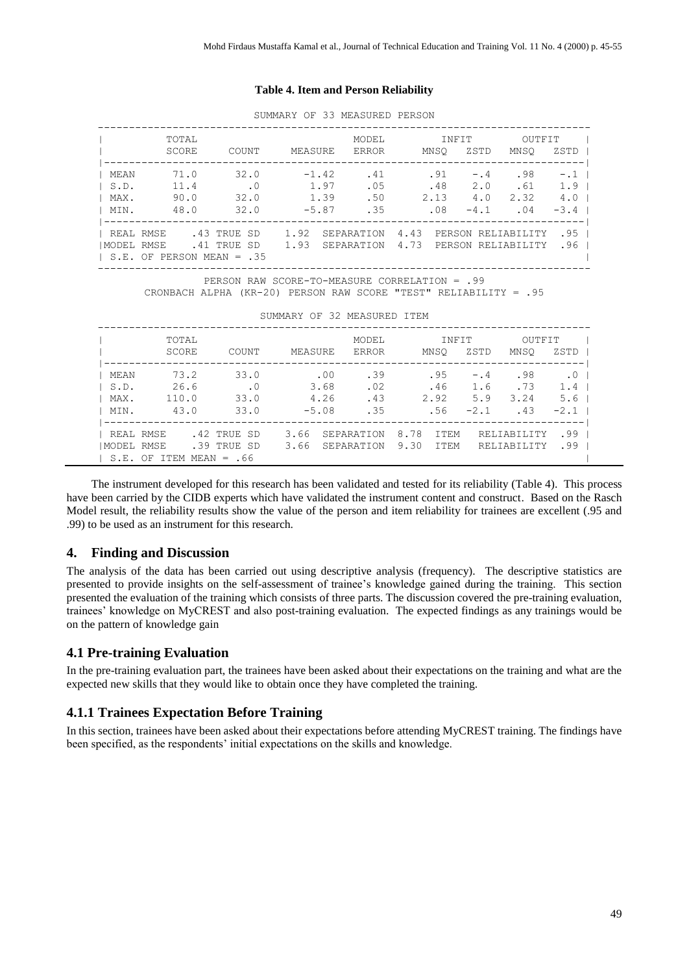#### **Table 4. Item and Person Reliability**

|              |                                                                |          | SUMMARY OF 33 MEASURED PERSON |             |       |       |                                         |                  |
|--------------|----------------------------------------------------------------|----------|-------------------------------|-------------|-------|-------|-----------------------------------------|------------------|
|              | TOTAL                                                          |          |                               |             | MODEL | INFIT | OUTFIT                                  |                  |
|              | SCORE                                                          | COUNT    | MEASURE                       | ERROR       |       | MNSO  | ZSTD<br>MNSO                            | ZSTD I           |
| MEAN         | 71.0                                                           | 32.0     | $-1.42$                       | .41         |       | .91   | $-.4$ .98                               | $-.1$            |
| $\vert$ S.D. | 11.4                                                           | $\sim$ 0 | 1.97                          |             |       |       | $.05$ $.48$ $2.0$ $.61$                 | 1.9 <sub>1</sub> |
| $I$ MAX.     | 90.0                                                           | 32.0     | 1.39                          |             |       |       | $2.13$ $4.0$ $2.32$                     | 4.0 <sub>1</sub> |
| I MIN.       | 48.0                                                           | 32.0     |                               | $-5.87$ .35 |       | .08   | $-4.1$ . 04                             | $-3.4$           |
|              | I REAL RMSE .43 TRUE SD                                        |          |                               |             |       |       | 1.92 SEPARATION 4.43 PERSON RELIABILITY | .95 <sub>1</sub> |
|              | IMODEL RMSE 41 TRUE SD 1.93 SEPARATION 4.73 PERSON RELIABILITY |          |                               |             |       |       |                                         | .96 <sub>1</sub> |
|              | $\vert$ S.E. OF PERSON MEAN = .35                              |          |                               |             |       |       |                                         |                  |
|              |                                                                |          |                               |             |       |       |                                         |                  |

SUMMARY OF 33 MEASURED PERSON

PERSON RAW SCORE-TO-MEASURE CORRELATION = .99

CRONBACH ALPHA (KR-20) PERSON RAW SCORE "TEST" RELIABILITY = .95

| SUMMARY OF 32 MEASURED ITEM |  |  |
|-----------------------------|--|--|
|-----------------------------|--|--|

|            | TOTAL        |              |         | <b>MODEL</b> |      | INFIT       |        | OUTFIT      |           |
|------------|--------------|--------------|---------|--------------|------|-------------|--------|-------------|-----------|
|            | SCORE        | COUNT        | MEASURE | <b>ERROR</b> |      | MNSO        | ZSTD   | MNSO        | ZSTD      |
| MEAN       | 73.2         | 33.0         |         | .00<br>.39   |      | .95         | $-0.4$ | .98         | $\cdot$ 0 |
| S.D.       | 26.6         | $\cdot$ 0    | 3.68    | .02          |      | .46         | 1.6    | .73         | 1.4       |
| MAX.       | 110.0        | 33.0         | 4.26    | .43          |      | 2.92        | 5.9    | 3.24        | 5.6       |
| MIN.       | 43.0         | 33.0         | $-5.08$ | .35          |      | .56         | $-2.1$ | .43         | $-2.1$    |
|            |              |              |         |              |      |             |        |             |           |
| REAL RMSE  |              | .42 TRUE SD  | 3.66    | SEPARATION   | 8.78 | <b>TTEM</b> |        | RELIABILITY | .99       |
| MODEL RMSE |              | .39 TRUE SD  | 3.66    | SEPARATION   | 9.30 | <b>ITEM</b> |        | RELIABILITY | .99       |
|            | S.E. OF ITEM | $MERN = .66$ |         |              |      |             |        |             |           |

The instrument developed for this research has been validated and tested for its reliability (Table 4). This process have been carried by the CIDB experts which have validated the instrument content and construct. Based on the Rasch Model result, the reliability results show the value of the person and item reliability for trainees are excellent (.95 and .99) to be used as an instrument for this research.

# **4. Finding and Discussion**

The analysis of the data has been carried out using descriptive analysis (frequency). The descriptive statistics are presented to provide insights on the self-assessment of trainee's knowledge gained during the training. This section presented the evaluation of the training which consists of three parts. The discussion covered the pre-training evaluation, trainees' knowledge on MyCREST and also post-training evaluation. The expected findings as any trainings would be on the pattern of knowledge gain

#### **4.1 Pre-training Evaluation**

In the pre-training evaluation part, the trainees have been asked about their expectations on the training and what are the expected new skills that they would like to obtain once they have completed the training.

#### **4.1.1 Trainees Expectation Before Training**

In this section, trainees have been asked about their expectations before attending MyCREST training. The findings have been specified, as the respondents' initial expectations on the skills and knowledge.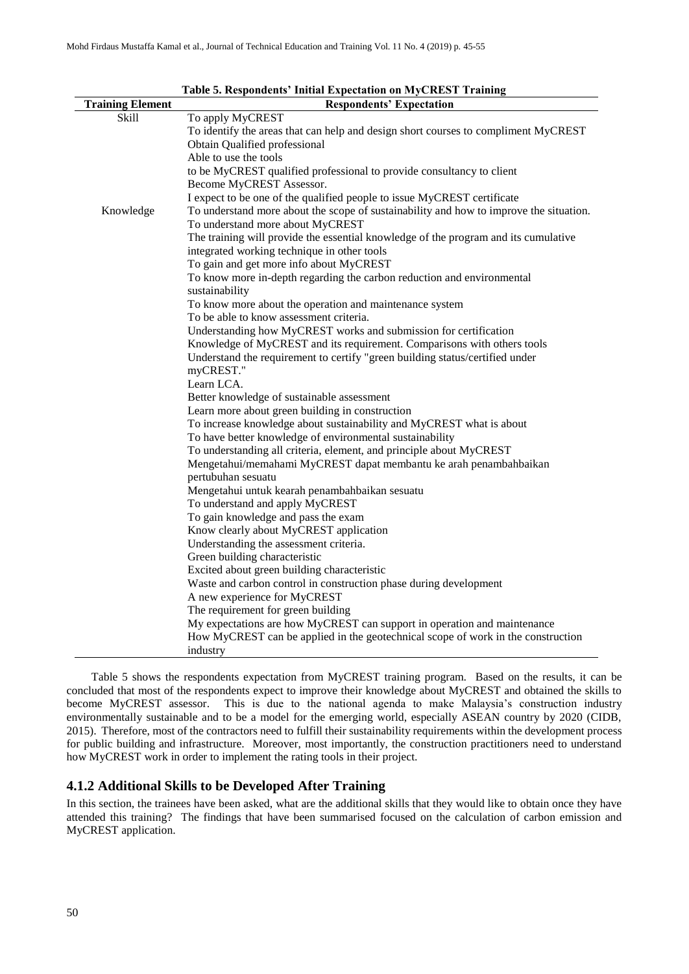| <b>Training Element</b> | таме от кезронаснея типии дарестаной он втустенот ттанинд<br><b>Respondents' Expectation</b> |
|-------------------------|----------------------------------------------------------------------------------------------|
| <b>Skill</b>            | To apply MyCREST                                                                             |
|                         | To identify the areas that can help and design short courses to compliment MyCREST           |
|                         | Obtain Qualified professional                                                                |
|                         | Able to use the tools                                                                        |
|                         | to be MyCREST qualified professional to provide consultancy to client                        |
|                         | Become MyCREST Assessor.                                                                     |
|                         | I expect to be one of the qualified people to issue MyCREST certificate                      |
| Knowledge               | To understand more about the scope of sustainability and how to improve the situation.       |
|                         | To understand more about MyCREST                                                             |
|                         | The training will provide the essential knowledge of the program and its cumulative          |
|                         | integrated working technique in other tools                                                  |
|                         | To gain and get more info about MyCREST                                                      |
|                         | To know more in-depth regarding the carbon reduction and environmental                       |
|                         | sustainability                                                                               |
|                         | To know more about the operation and maintenance system                                      |
|                         | To be able to know assessment criteria.                                                      |
|                         | Understanding how MyCREST works and submission for certification                             |
|                         | Knowledge of MyCREST and its requirement. Comparisons with others tools                      |
|                         | Understand the requirement to certify "green building status/certified under                 |
|                         | myCREST."                                                                                    |
|                         | Learn LCA.                                                                                   |
|                         | Better knowledge of sustainable assessment                                                   |
|                         | Learn more about green building in construction                                              |
|                         | To increase knowledge about sustainability and MyCREST what is about                         |
|                         | To have better knowledge of environmental sustainability                                     |
|                         | To understanding all criteria, element, and principle about MyCREST                          |
|                         | Mengetahui/memahami MyCREST dapat membantu ke arah penambahbaikan                            |
|                         | pertubuhan sesuatu                                                                           |
|                         | Mengetahui untuk kearah penambahbaikan sesuatu                                               |
|                         | To understand and apply MyCREST                                                              |
|                         | To gain knowledge and pass the exam                                                          |
|                         | Know clearly about MyCREST application                                                       |
|                         | Understanding the assessment criteria.                                                       |
|                         | Green building characteristic                                                                |
|                         | Excited about green building characteristic                                                  |
|                         | Waste and carbon control in construction phase during development                            |
|                         | A new experience for MyCREST                                                                 |
|                         | The requirement for green building                                                           |
|                         | My expectations are how MyCREST can support in operation and maintenance                     |
|                         | How MyCREST can be applied in the geotechnical scope of work in the construction             |
|                         | industry                                                                                     |

**Table 5. Respondents' Initial Expectation on MyCREST Training**

Table 5 shows the respondents expectation from MyCREST training program. Based on the results, it can be concluded that most of the respondents expect to improve their knowledge about MyCREST and obtained the skills to become MyCREST assessor. This is due to the national agenda to make Malaysia's construction industry environmentally sustainable and to be a model for the emerging world, especially ASEAN country by 2020 (CIDB, 2015). Therefore, most of the contractors need to fulfill their sustainability requirements within the development process for public building and infrastructure. Moreover, most importantly, the construction practitioners need to understand how MyCREST work in order to implement the rating tools in their project.

#### **4.1.2 Additional Skills to be Developed After Training**

In this section, the trainees have been asked, what are the additional skills that they would like to obtain once they have attended this training? The findings that have been summarised focused on the calculation of carbon emission and MyCREST application.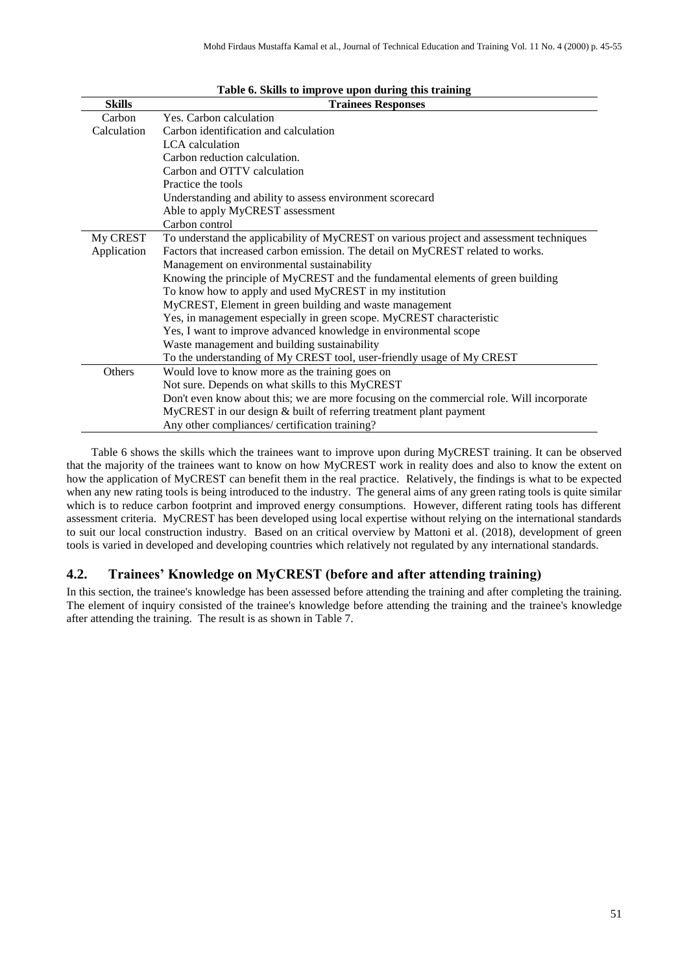| <b>Skills</b> | <b>Trainees Responses</b>                                                                 |
|---------------|-------------------------------------------------------------------------------------------|
| Carbon        | Yes. Carbon calculation                                                                   |
| Calculation   | Carbon identification and calculation                                                     |
|               | LCA calculation                                                                           |
|               | Carbon reduction calculation.                                                             |
|               | Carbon and OTTV calculation                                                               |
|               | Practice the tools                                                                        |
|               | Understanding and ability to assess environment scorecard                                 |
|               | Able to apply MyCREST assessment                                                          |
|               | Carbon control                                                                            |
| My CREST      | To understand the applicability of MyCREST on various project and assessment techniques   |
| Application   | Factors that increased carbon emission. The detail on MyCREST related to works.           |
|               | Management on environmental sustainability                                                |
|               | Knowing the principle of MyCREST and the fundamental elements of green building           |
|               | To know how to apply and used MyCREST in my institution                                   |
|               | MyCREST, Element in green building and waste management                                   |
|               | Yes, in management especially in green scope. MyCREST characteristic                      |
|               | Yes, I want to improve advanced knowledge in environmental scope                          |
|               | Waste management and building sustainability                                              |
|               | To the understanding of My CREST tool, user-friendly usage of My CREST                    |
| Others        | Would love to know more as the training goes on                                           |
|               | Not sure. Depends on what skills to this MyCREST                                          |
|               | Don't even know about this; we are more focusing on the commercial role. Will incorporate |
|               | MyCREST in our design & built of referring treatment plant payment                        |
|               | Any other compliances/ certification training?                                            |

#### **Table 6. Skills to improve upon during this training**

Table 6 shows the skills which the trainees want to improve upon during MyCREST training. It can be observed that the majority of the trainees want to know on how MyCREST work in reality does and also to know the extent on how the application of MyCREST can benefit them in the real practice. Relatively, the findings is what to be expected when any new rating tools is being introduced to the industry. The general aims of any green rating tools is quite similar which is to reduce carbon footprint and improved energy consumptions. However, different rating tools has different assessment criteria. MyCREST has been developed using local expertise without relying on the international standards to suit our local construction industry. Based on an critical overview by Mattoni et al. (2018), development of green tools is varied in developed and developing countries which relatively not regulated by any international standards.

#### **4.2. Trainees' Knowledge on MyCREST (before and after attending training)**

In this section, the trainee's knowledge has been assessed before attending the training and after completing the training. The element of inquiry consisted of the trainee's knowledge before attending the training and the trainee's knowledge after attending the training. The result is as shown in Table 7.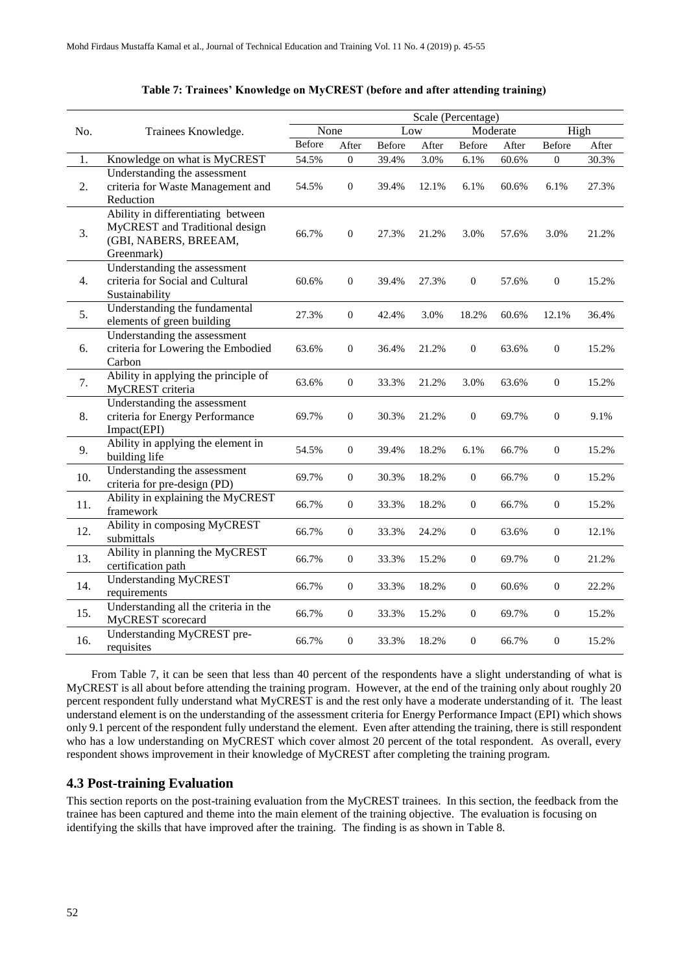|     |                                                                                                             | Scale (Percentage) |                  |               |       |                  |       |                  |       |
|-----|-------------------------------------------------------------------------------------------------------------|--------------------|------------------|---------------|-------|------------------|-------|------------------|-------|
| No. | Trainees Knowledge.                                                                                         | None               |                  | Low           |       | Moderate         |       | High             |       |
|     |                                                                                                             | Before             | After            | <b>Before</b> | After | <b>Before</b>    | After | Before           | After |
| 1.  | Knowledge on what is MyCREST                                                                                | 54.5%              | $\boldsymbol{0}$ | 39.4%         | 3.0%  | 6.1%             | 60.6% | $\boldsymbol{0}$ | 30.3% |
| 2.  | Understanding the assessment<br>criteria for Waste Management and<br>Reduction                              | 54.5%              | $\boldsymbol{0}$ | 39.4%         | 12.1% | 6.1%             | 60.6% | 6.1%             | 27.3% |
| 3.  | Ability in differentiating between<br>MyCREST and Traditional design<br>(GBI, NABERS, BREEAM,<br>Greenmark) | 66.7%              | $\boldsymbol{0}$ | 27.3%         | 21.2% | 3.0%             | 57.6% | 3.0%             | 21.2% |
| 4.  | Understanding the assessment<br>criteria for Social and Cultural<br>Sustainability                          | 60.6%              | $\theta$         | 39.4%         | 27.3% | $\overline{0}$   | 57.6% | $\boldsymbol{0}$ | 15.2% |
| 5.  | Understanding the fundamental<br>elements of green building                                                 | 27.3%              | $\boldsymbol{0}$ | 42.4%         | 3.0%  | 18.2%            | 60.6% | 12.1%            | 36.4% |
| 6.  | Understanding the assessment<br>criteria for Lowering the Embodied<br>Carbon                                | 63.6%              | $\boldsymbol{0}$ | 36.4%         | 21.2% | $\mathbf{0}$     | 63.6% | $\boldsymbol{0}$ | 15.2% |
| 7.  | Ability in applying the principle of<br>MyCREST criteria                                                    | 63.6%              | $\boldsymbol{0}$ | 33.3%         | 21.2% | 3.0%             | 63.6% | $\boldsymbol{0}$ | 15.2% |
| 8.  | Understanding the assessment<br>criteria for Energy Performance<br>Impact(EPI)                              | 69.7%              | $\boldsymbol{0}$ | 30.3%         | 21.2% | $\boldsymbol{0}$ | 69.7% | $\boldsymbol{0}$ | 9.1%  |
| 9.  | Ability in applying the element in<br>building life                                                         | 54.5%              | $\boldsymbol{0}$ | 39.4%         | 18.2% | 6.1%             | 66.7% | $\boldsymbol{0}$ | 15.2% |
| 10. | Understanding the assessment<br>criteria for pre-design (PD)                                                | 69.7%              | $\boldsymbol{0}$ | 30.3%         | 18.2% | $\mathbf{0}$     | 66.7% | $\boldsymbol{0}$ | 15.2% |
| 11. | Ability in explaining the MyCREST<br>framework                                                              | 66.7%              | $\boldsymbol{0}$ | 33.3%         | 18.2% | $\mathbf{0}$     | 66.7% | $\boldsymbol{0}$ | 15.2% |
| 12. | Ability in composing MyCREST<br>submittals                                                                  | 66.7%              | $\boldsymbol{0}$ | 33.3%         | 24.2% | $\boldsymbol{0}$ | 63.6% | $\boldsymbol{0}$ | 12.1% |
| 13. | Ability in planning the MyCREST<br>certification path                                                       | 66.7%              | $\boldsymbol{0}$ | 33.3%         | 15.2% | $\mathbf{0}$     | 69.7% | $\boldsymbol{0}$ | 21.2% |
| 14. | Understanding MyCREST<br>requirements                                                                       | 66.7%              | $\boldsymbol{0}$ | 33.3%         | 18.2% | $\boldsymbol{0}$ | 60.6% | $\boldsymbol{0}$ | 22.2% |
| 15. | Understanding all the criteria in the<br>MyCREST scorecard                                                  | 66.7%              | $\boldsymbol{0}$ | 33.3%         | 15.2% | $\boldsymbol{0}$ | 69.7% | $\boldsymbol{0}$ | 15.2% |
| 16. | Understanding MyCREST pre-<br>requisites                                                                    | 66.7%              | $\boldsymbol{0}$ | 33.3%         | 18.2% | $\mathbf{0}$     | 66.7% | $\boldsymbol{0}$ | 15.2% |

#### **Table 7: Trainees' Knowledge on MyCREST (before and after attending training)**

From Table 7, it can be seen that less than 40 percent of the respondents have a slight understanding of what is MyCREST is all about before attending the training program. However, at the end of the training only about roughly 20 percent respondent fully understand what MyCREST is and the rest only have a moderate understanding of it. The least understand element is on the understanding of the assessment criteria for Energy Performance Impact (EPI) which shows only 9.1 percent of the respondent fully understand the element. Even after attending the training, there is still respondent who has a low understanding on MyCREST which cover almost 20 percent of the total respondent. As overall, every respondent shows improvement in their knowledge of MyCREST after completing the training program.

# **4.3 Post-training Evaluation**

This section reports on the post-training evaluation from the MyCREST trainees. In this section, the feedback from the trainee has been captured and theme into the main element of the training objective. The evaluation is focusing on identifying the skills that have improved after the training. The finding is as shown in Table 8.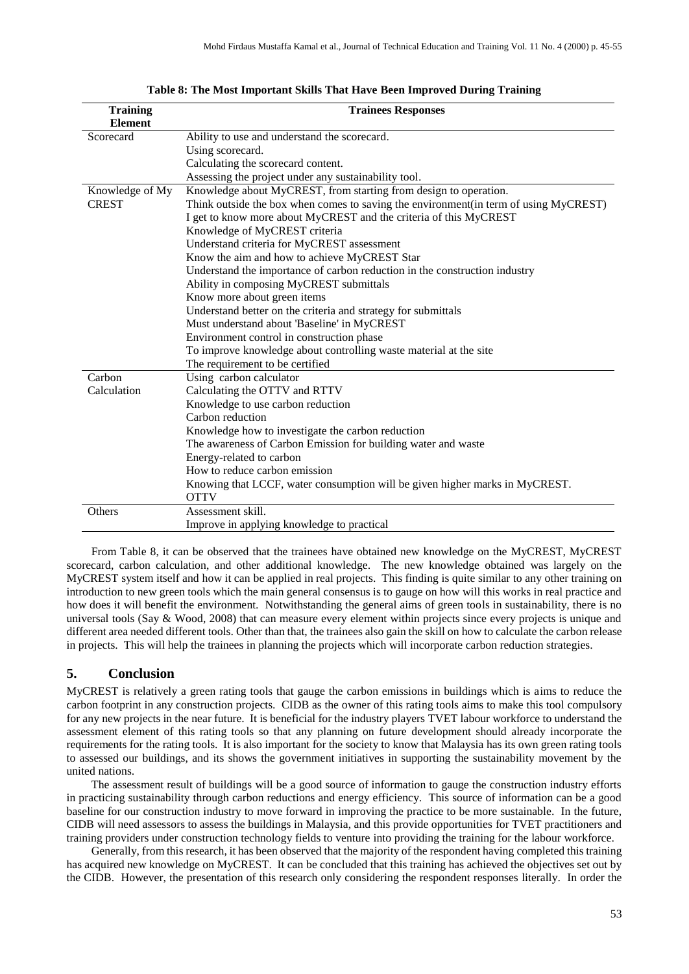| <b>Training</b> | <b>Trainees Responses</b>                                                            |
|-----------------|--------------------------------------------------------------------------------------|
| <b>Element</b>  |                                                                                      |
| Scorecard       | Ability to use and understand the scorecard.                                         |
|                 | Using scorecard.                                                                     |
|                 | Calculating the scorecard content.                                                   |
|                 | Assessing the project under any sustainability tool.                                 |
| Knowledge of My | Knowledge about MyCREST, from starting from design to operation.                     |
| <b>CREST</b>    | Think outside the box when comes to saving the environment(in term of using MyCREST) |
|                 | I get to know more about MyCREST and the criteria of this MyCREST                    |
|                 | Knowledge of MyCREST criteria                                                        |
|                 | Understand criteria for MyCREST assessment                                           |
|                 | Know the aim and how to achieve MyCREST Star                                         |
|                 | Understand the importance of carbon reduction in the construction industry           |
|                 | Ability in composing MyCREST submittals                                              |
|                 | Know more about green items                                                          |
|                 | Understand better on the criteria and strategy for submittals                        |
|                 | Must understand about 'Baseline' in MyCREST                                          |
|                 | Environment control in construction phase                                            |
|                 | To improve knowledge about controlling waste material at the site                    |
|                 | The requirement to be certified                                                      |
| Carbon          | Using carbon calculator                                                              |
| Calculation     | Calculating the OTTV and RTTV                                                        |
|                 | Knowledge to use carbon reduction                                                    |
|                 | Carbon reduction                                                                     |
|                 | Knowledge how to investigate the carbon reduction                                    |
|                 | The awareness of Carbon Emission for building water and waste                        |
|                 | Energy-related to carbon                                                             |
|                 | How to reduce carbon emission                                                        |
|                 | Knowing that LCCF, water consumption will be given higher marks in MyCREST.          |
|                 | <b>OTTV</b>                                                                          |
| Others          | Assessment skill.                                                                    |
|                 | Improve in applying knowledge to practical                                           |

**Table 8: The Most Important Skills That Have Been Improved During Training**

From Table 8, it can be observed that the trainees have obtained new knowledge on the MyCREST, MyCREST scorecard, carbon calculation, and other additional knowledge. The new knowledge obtained was largely on the MyCREST system itself and how it can be applied in real projects. This finding is quite similar to any other training on introduction to new green tools which the main general consensus is to gauge on how will this works in real practice and how does it will benefit the environment. Notwithstanding the general aims of green tools in sustainability, there is no universal tools (Say & Wood, 2008) that can measure every element within projects since every projects is unique and different area needed different tools. Other than that, the trainees also gain the skill on how to calculate the carbon release in projects. This will help the trainees in planning the projects which will incorporate carbon reduction strategies.

# **5. Conclusion**

MyCREST is relatively a green rating tools that gauge the carbon emissions in buildings which is aims to reduce the carbon footprint in any construction projects. CIDB as the owner of this rating tools aims to make this tool compulsory for any new projects in the near future. It is beneficial for the industry players TVET labour workforce to understand the assessment element of this rating tools so that any planning on future development should already incorporate the requirements for the rating tools. It is also important for the society to know that Malaysia has its own green rating tools to assessed our buildings, and its shows the government initiatives in supporting the sustainability movement by the united nations.

The assessment result of buildings will be a good source of information to gauge the construction industry efforts in practicing sustainability through carbon reductions and energy efficiency. This source of information can be a good baseline for our construction industry to move forward in improving the practice to be more sustainable. In the future, CIDB will need assessors to assess the buildings in Malaysia, and this provide opportunities for TVET practitioners and training providers under construction technology fields to venture into providing the training for the labour workforce.

Generally, from this research, it has been observed that the majority of the respondent having completed this training has acquired new knowledge on MyCREST. It can be concluded that this training has achieved the objectives set out by the CIDB. However, the presentation of this research only considering the respondent responses literally. In order the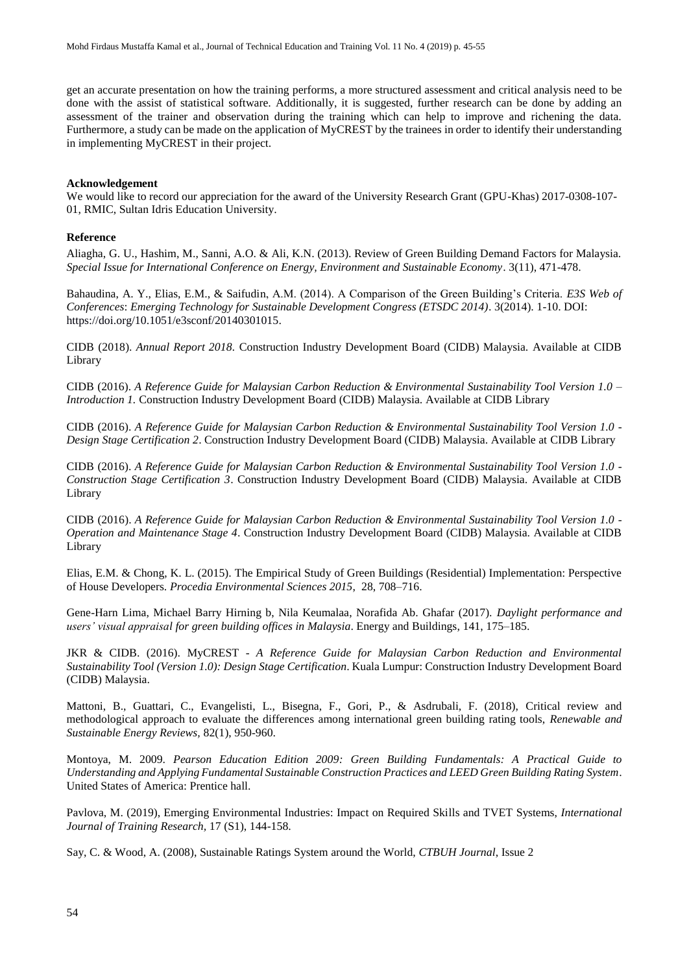get an accurate presentation on how the training performs, a more structured assessment and critical analysis need to be done with the assist of statistical software. Additionally, it is suggested, further research can be done by adding an assessment of the trainer and observation during the training which can help to improve and richening the data. Furthermore, a study can be made on the application of MyCREST by the trainees in order to identify their understanding in implementing MyCREST in their project.

#### **Acknowledgement**

We would like to record our appreciation for the award of the University Research Grant (GPU-Khas) 2017-0308-107- 01, RMIC, Sultan Idris Education University.

#### **Reference**

Aliagha, G. U., Hashim, M., Sanni, A.O. & Ali, K.N. (2013). Review of Green Building Demand Factors for Malaysia. *Special Issue for International Conference on Energy, Environment and Sustainable Economy*. 3(11), 471-478.

Bahaudina, A. Y., Elias, E.M., & Saifudin, A.M. (2014). A Comparison of the Green Building's Criteria. *E3S Web of Conferences*: *Emerging Technology for Sustainable Development Congress (ETSDC 2014)*. 3(2014). 1-10. DOI: https://doi.org/10.1051/e3sconf/20140301015.

CIDB (2018). *Annual Report 2018.* Construction Industry Development Board (CIDB) Malaysia. Available at CIDB Library

CIDB (2016). *A Reference Guide for Malaysian Carbon Reduction & Environmental Sustainability Tool Version 1.0 – Introduction 1.* Construction Industry Development Board (CIDB) Malaysia. Available at CIDB Library

CIDB (2016). *A Reference Guide for Malaysian Carbon Reduction & Environmental Sustainability Tool Version 1.0 - Design Stage Certification 2*. Construction Industry Development Board (CIDB) Malaysia. Available at CIDB Library

CIDB (2016). *A Reference Guide for Malaysian Carbon Reduction & Environmental Sustainability Tool Version 1.0 - Construction Stage Certification 3*. Construction Industry Development Board (CIDB) Malaysia. Available at CIDB Library

CIDB (2016). *A Reference Guide for Malaysian Carbon Reduction & Environmental Sustainability Tool Version 1.0 - Operation and Maintenance Stage 4*. Construction Industry Development Board (CIDB) Malaysia. Available at CIDB Library

Elias, E.M. & Chong, K. L. (2015). The Empirical Study of Green Buildings (Residential) Implementation: Perspective of House Developers. *Procedia Environmental Sciences 2015*, 28, 708–716.

Gene-Harn Lima, Michael Barry Hirning b, Nila Keumalaa, Norafida Ab. Ghafar (2017). *Daylight performance and users' visual appraisal for green building offices in Malaysia*. Energy and Buildings, 141, 175–185.

JKR & CIDB. (2016). MyCREST - *A Reference Guide for Malaysian Carbon Reduction and Environmental Sustainability Tool (Version 1.0): Design Stage Certification*. Kuala Lumpur: Construction Industry Development Board (CIDB) Malaysia.

Mattoni, B., Guattari, C., Evangelisti, L., Bisegna, F., Gori, P., & Asdrubali, F. (2018), Critical review and methodological approach to evaluate the differences among international green building rating tools, *Renewable and Sustainable Energy Reviews,* 82(1), 950-960.

Montoya, M. 2009. *Pearson Education Edition 2009: Green Building Fundamentals: A Practical Guide to Understanding and Applying Fundamental Sustainable Construction Practices and LEED Green Building Rating System*. United States of America: Prentice hall.

Pavlova, M. (2019), Emerging Environmental Industries: Impact on Required Skills and TVET Systems, *International Journal of Training Research,* 17 (S1), 144-158.

Say, C. & Wood, A. (2008), Sustainable Ratings System around the World, *CTBUH Journal*, Issue 2